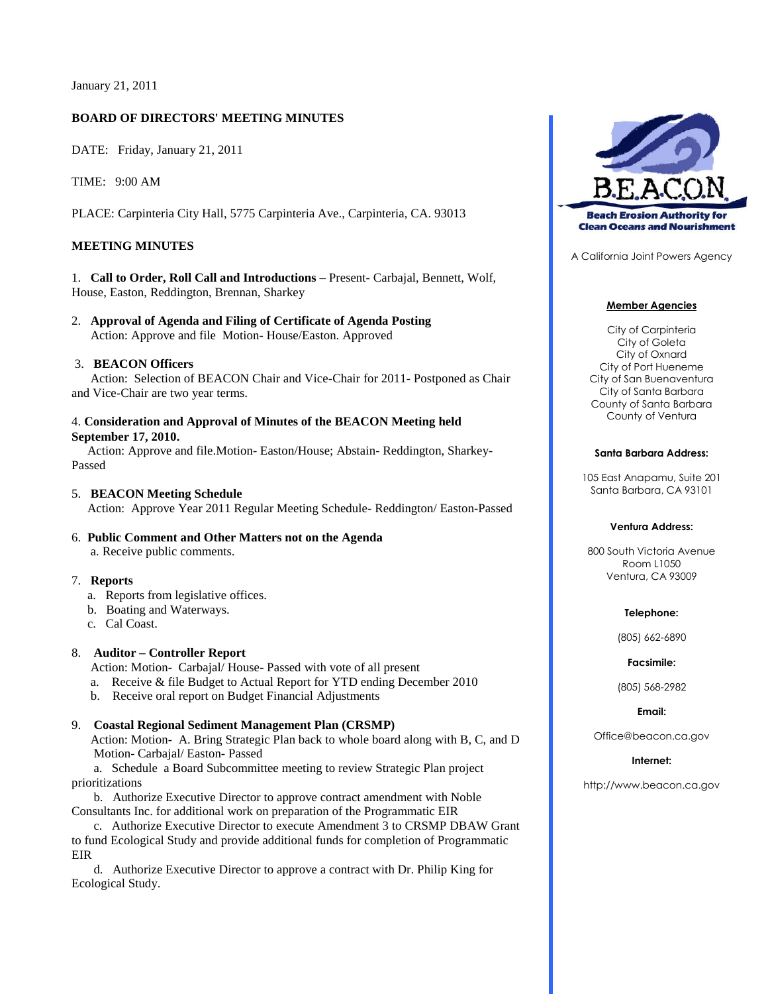January 21, 2011

## **BOARD OF DIRECTORS' MEETING MINUTES**

DATE: Friday, January 21, 2011

TIME: 9:00 AM

PLACE: Carpinteria City Hall, 5775 Carpinteria Ave., Carpinteria, CA. 93013

## **MEETING MINUTES**

1. **Call to Order, Roll Call and Introductions** – Present- Carbajal, Bennett, Wolf, House, Easton, Reddington, Brennan, Sharkey

2. **Approval of Agenda and Filing of Certificate of Agenda Posting** Action: Approve and file Motion- House/Easton. Approved

#### 3. **BEACON Officers**

Action: Selection of BEACON Chair and Vice-Chair for 2011- Postponed as Chair and Vice-Chair are two year terms.

## 4. **Consideration and Approval of Minutes of the BEACON Meeting held September 17, 2010.**

Action: Approve and file.Motion- Easton/House; Abstain- Reddington, Sharkey-Passed

# 5. **BEACON Meeting Schedule** Action: Approve Year 2011 Regular Meeting Schedule- Reddington/ Easton-Passed

6. **Public Comment and Other Matters not on the Agenda** a. Receive public comments.

### 7. **Reports**

- a. Reports from legislative offices.
- b. Boating and Waterways.
- c. Cal Coast.

## 8. **Auditor – Controller Report**

Action: Motion- Carbajal/ House- Passed with vote of all present

- a. Receive & file Budget to Actual Report for YTD ending December 2010
- b. Receive oral report on Budget Financial Adjustments

### 9. **Coastal Regional Sediment Management Plan (CRSMP)**

Action: Motion- A. Bring Strategic Plan back to whole board along with B, C, and D Motion- Carbajal/ Easton- Passed

a. Schedule a Board Subcommittee meeting to review Strategic Plan project prioritizations

b. Authorize Executive Director to approve contract amendment with Noble Consultants Inc. for additional work on preparation of the Programmatic EIR

c. Authorize Executive Director to execute Amendment 3 to CRSMP DBAW Grant to fund Ecological Study and provide additional funds for completion of Programmatic EIR

d. Authorize Executive Director to approve a contract with Dr. Philip King for Ecological Study.



A California Joint Powers Agency

#### **Member Agencies**

City of Carpinteria City of Goleta City of Oxnard City of Port Hueneme City of San Buenaventura City of Santa Barbara County of Santa Barbara County of Ventura

#### **Santa Barbara Address:**

105 East Anapamu, Suite 201 Santa Barbara, CA 93101

#### **Ventura Address:**

800 South Victoria Avenue Room L1050 Ventura, CA 93009

#### **Telephone:**

(805) 662-6890

#### **Facsimile:**

(805) 568-2982

**Email:**

Office@beacon.ca.gov

#### **Internet:**

http://www.beacon.ca.gov